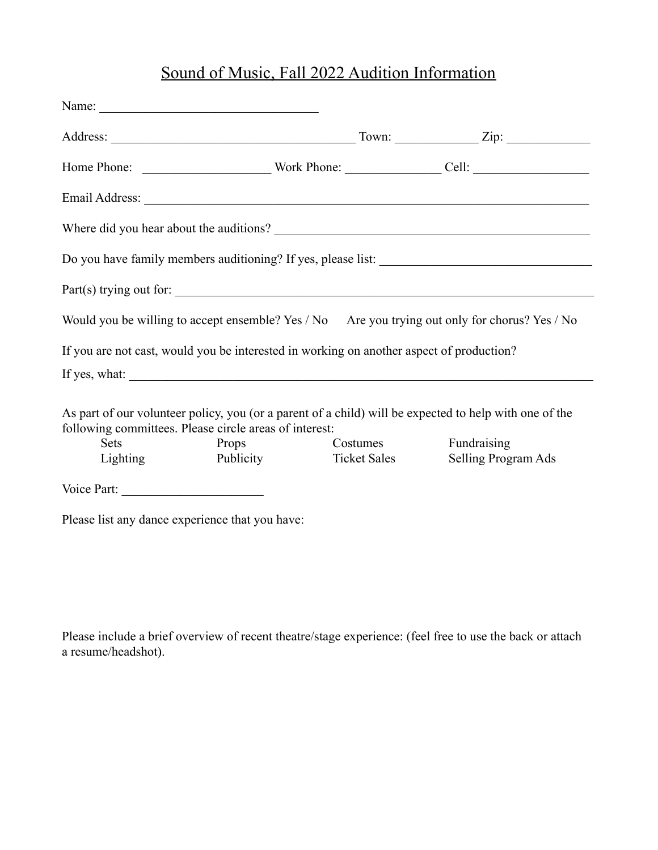# Sound of Music, Fall 2022 Audition Information

| Part(s) trying out for:                                                                                |
|--------------------------------------------------------------------------------------------------------|
| Would you be willing to accept ensemble? Yes / No Are you trying out only for chorus? Yes / No         |
| If you are not cast, would you be interested in working on another aspect of production?               |
|                                                                                                        |
| As part of our volunteer policy, you (or a parent of a child) will be expected to help with one of the |
| Fundraising<br>Costumes<br>Selling Program Ads                                                         |
|                                                                                                        |

Please include a brief overview of recent theatre/stage experience: (feel free to use the back or attach a resume/headshot).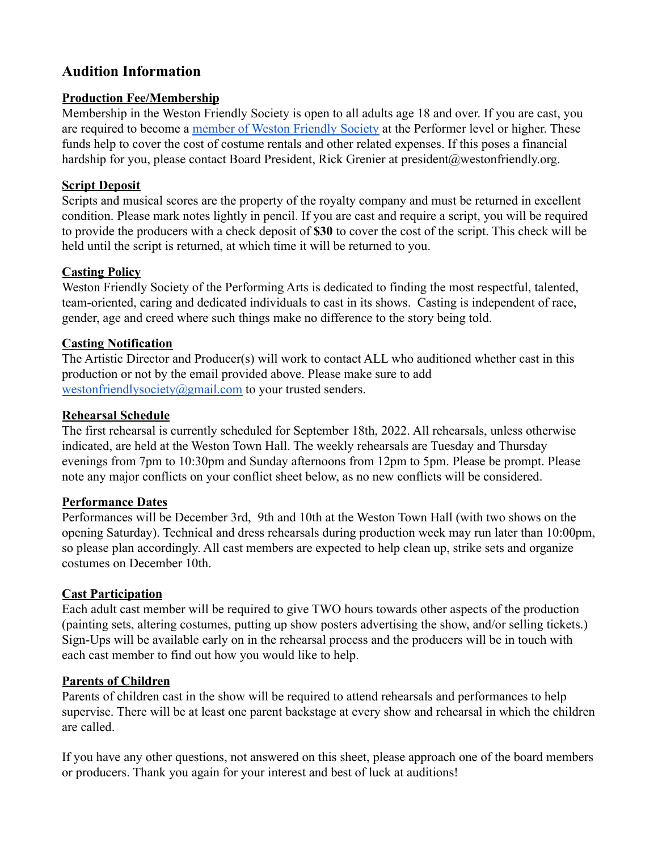# **Audition Information**

### **Production Fee/Membership**

Membership in the Weston Friendly Society is open to all adults age 18 and over. If you are cast, you are required to become a [member of Weston Friendly](https://givebutter.com/k9bYdP) Society at the Performer level or higher. These funds help to cover the cost of costume rentals and other related expenses. If this poses a financial hardship for you, please contact Board President, Rick Grenier at president@westonfriendly.org.

# **Script Deposit**

Scripts and musical scores are the property of the royalty company and must be returned in excellent condition. Please mark notes lightly in pencil. If you are cast and require a script, you will be required to provide the producers with a check deposit of **\$30** to cover the cost of the script. This check will be held until the script is returned, at which time it will be returned to you.

# **Casting Policy**

Weston Friendly Society of the Performing Arts is dedicated to finding the most respectful, talented, team-oriented, caring and dedicated individuals to cast in its shows. Casting is independent of race, gender, age and creed where such things make no difference to the story being told.

# **Casting Notification**

The Artistic Director and Producer(s) will work to contact ALL who auditioned whether cast in this production or not by the email provided above. Please make sure to add [westonfriendlysociety@gmail.com](mailto:westonfriendlysociety@gmail.com) to your trusted senders.

#### **Rehearsal Schedule**

The first rehearsal is currently scheduled for September 18th, 2022. All rehearsals, unless otherwise indicated, are held at the Weston Town Hall. The weekly rehearsals are Tuesday and Thursday evenings from 7pm to 10:30pm and Sunday afternoons from 12pm to 5pm. Please be prompt. Please note any major conflicts on your conflict sheet below, as no new conflicts will be considered.

#### **Performance Dates**

Performances will be December 3rd, 9th and 10th at the Weston Town Hall (with two shows on the opening Saturday). Technical and dress rehearsals during production week may run later than 10:00pm, so please plan accordingly. All cast members are expected to help clean up, strike sets and organize costumes on December 10th.

#### **Cast Participation**

Each adult cast member will be required to give TWO hours towards other aspects of the production (painting sets, altering costumes, putting up show posters advertising the show, and/or selling tickets.) Sign-Ups will be available early on in the rehearsal process and the producers will be in touch with each cast member to find out how you would like to help.

#### **Parents of Children**

Parents of children cast in the show will be required to attend rehearsals and performances to help supervise. There will be at least one parent backstage at every show and rehearsal in which the children are called.

If you have any other questions, not answered on this sheet, please approach one of the board members or producers. Thank you again for your interest and best of luck at auditions!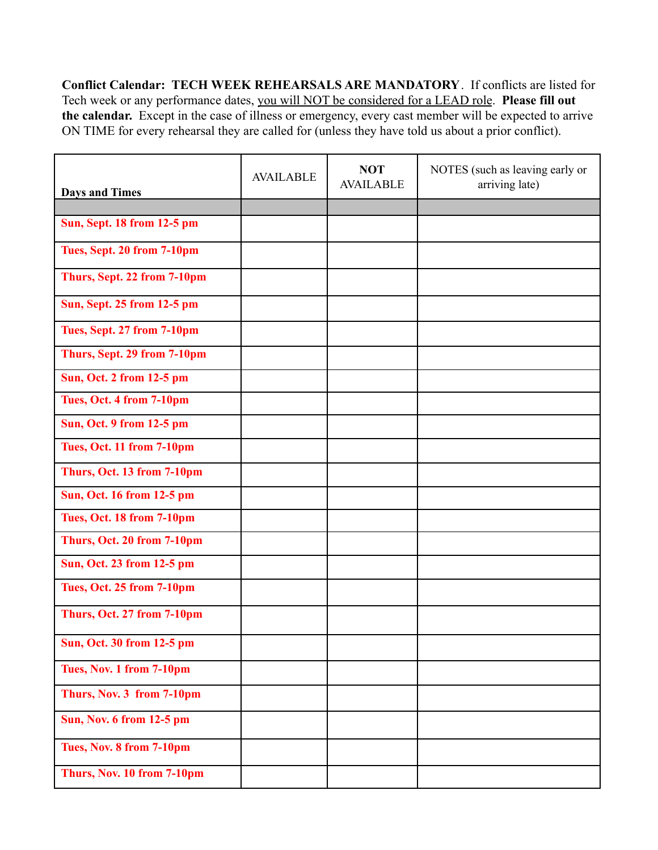**Conflict Calendar: TECH WEEK REHEARSALS ARE MANDATORY**. If conflicts are listed for Tech week or any performance dates, you will NOT be considered for a LEAD role. **Please fill out the calendar.** Except in the case of illness or emergency, every cast member will be expected to arrive ON TIME for every rehearsal they are called for (unless they have told us about a prior conflict).

| <b>Days and Times</b>             | <b>AVAILABLE</b> | <b>NOT</b><br><b>AVAILABLE</b> | NOTES (such as leaving early or<br>arriving late) |
|-----------------------------------|------------------|--------------------------------|---------------------------------------------------|
|                                   |                  |                                |                                                   |
| <b>Sun, Sept. 18 from 12-5 pm</b> |                  |                                |                                                   |
| Tues, Sept. 20 from 7-10pm        |                  |                                |                                                   |
| Thurs, Sept. 22 from 7-10pm       |                  |                                |                                                   |
| Sun, Sept. 25 from 12-5 pm        |                  |                                |                                                   |
| Tues, Sept. 27 from 7-10pm        |                  |                                |                                                   |
| Thurs, Sept. 29 from 7-10pm       |                  |                                |                                                   |
| Sun, Oct. 2 from 12-5 pm          |                  |                                |                                                   |
| Tues, Oct. 4 from 7-10pm          |                  |                                |                                                   |
| Sun, Oct. 9 from 12-5 pm          |                  |                                |                                                   |
| Tues, Oct. 11 from 7-10pm         |                  |                                |                                                   |
| Thurs, Oct. 13 from 7-10pm        |                  |                                |                                                   |
| Sun, Oct. 16 from 12-5 pm         |                  |                                |                                                   |
| Tues, Oct. 18 from 7-10pm         |                  |                                |                                                   |
| Thurs, Oct. 20 from 7-10pm        |                  |                                |                                                   |
| Sun, Oct. 23 from 12-5 pm         |                  |                                |                                                   |
| Tues, Oct. 25 from 7-10pm         |                  |                                |                                                   |
| Thurs, Oct. 27 from 7-10pm        |                  |                                |                                                   |
| Sun, Oct. 30 from 12-5 pm         |                  |                                |                                                   |
| Tues, Nov. 1 from 7-10pm          |                  |                                |                                                   |
| Thurs, Nov. 3 from 7-10pm         |                  |                                |                                                   |
| <b>Sun, Nov. 6 from 12-5 pm</b>   |                  |                                |                                                   |
| Tues, Nov. 8 from 7-10pm          |                  |                                |                                                   |
| Thurs, Nov. 10 from 7-10pm        |                  |                                |                                                   |